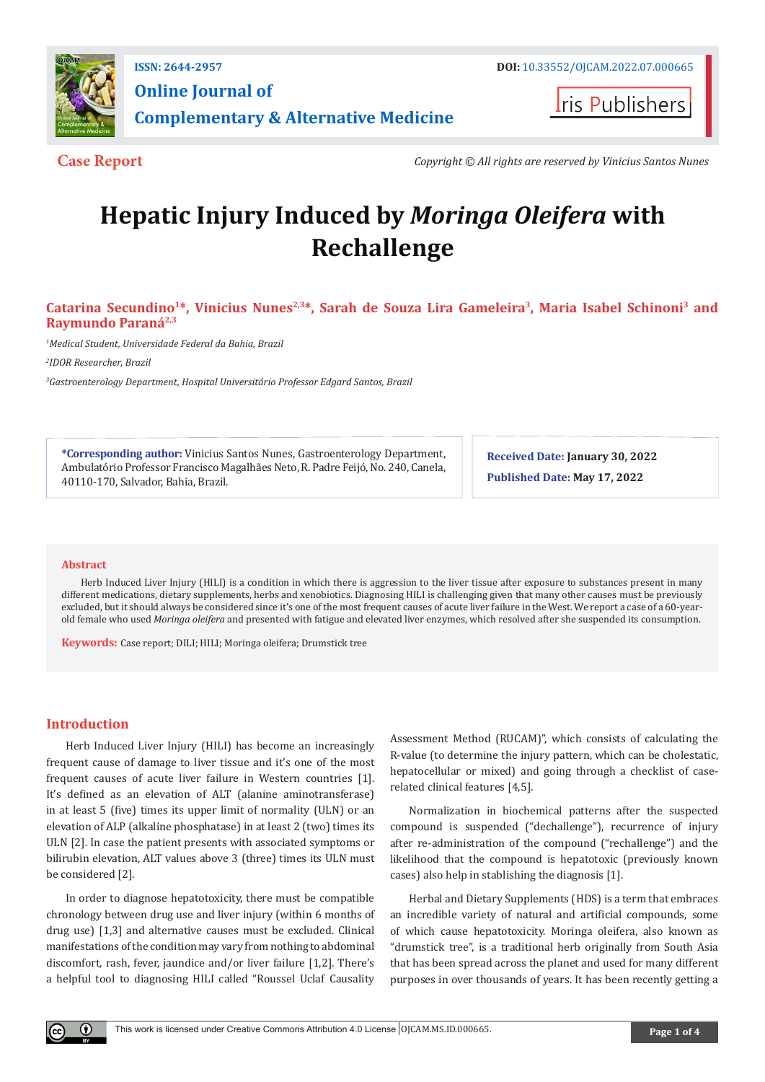

**Online Journal of Complementary & Alternative Medicine**

**Iris Publishers** 

**Case Report** *Copyright © All rights are reserved by Vinicius Santos Nunes*

# **Hepatic Injury Induced by** *Moringa Oleifera* **with Rechallenge**

# **Catarina Secundino1\*, Vinicius Nunes2,3\*, Sarah de Souza Lira Gameleira3, Maria Isabel Schinoni3 and Raymundo Paraná2,3**

*1 Medical Student, Universidade Federal da Bahia, Brazil*

*2 IDOR Researcher, Brazil*

*3 Gastroenterology Department, Hospital Universitário Professor Edgard Santos, Brazil*

**\*Corresponding author:** Vinicius Santos Nunes, Gastroenterology Department, Ambulatório Professor Francisco Magalhães Neto, R. Padre Feijó, No. 240, Canela, 40110-170, Salvador, Bahia, Brazil.

**Received Date: January 30, 2022 Published Date: May 17, 2022**

# **Abstract**

Herb Induced Liver Injury (HILI) is a condition in which there is aggression to the liver tissue after exposure to substances present in many different medications, dietary supplements, herbs and xenobiotics. Diagnosing HILI is challenging given that many other causes must be previously excluded, but it should always be considered since it's one of the most frequent causes of acute liver failure in the West. We report a case of a 60-yearold female who used *Moringa oleifera* and presented with fatigue and elevated liver enzymes, which resolved after she suspended its consumption.

**Keywords:** Case report; DILI; HILI; Moringa oleifera; Drumstick tree

# **Introduction**

Herb Induced Liver Injury (HILI) has become an increasingly frequent cause of damage to liver tissue and it's one of the most frequent causes of acute liver failure in Western countries [1]. It's defined as an elevation of ALT (alanine aminotransferase) in at least 5 (five) times its upper limit of normality (ULN) or an elevation of ALP (alkaline phosphatase) in at least 2 (two) times its ULN [2]. In case the patient presents with associated symptoms or bilirubin elevation, ALT values above 3 (three) times its ULN must be considered [2].

In order to diagnose hepatotoxicity, there must be compatible chronology between drug use and liver injury (within 6 months of drug use) [1,3] and alternative causes must be excluded. Clinical manifestations of the condition may vary from nothing to abdominal discomfort, rash, fever, jaundice and/or liver failure [1,2]. There's a helpful tool to diagnosing HILI called "Roussel Uclaf Causality

Assessment Method (RUCAM)", which consists of calculating the R-value (to determine the injury pattern, which can be cholestatic, hepatocellular or mixed) and going through a checklist of caserelated clinical features [4,5].

Normalization in biochemical patterns after the suspected compound is suspended ("dechallenge"), recurrence of injury after re-administration of the compound ("rechallenge") and the likelihood that the compound is hepatotoxic (previously known cases) also help in stablishing the diagnosis [1].

Herbal and Dietary Supplements (HDS) is a term that embraces an incredible variety of natural and artificial compounds, some of which cause hepatotoxicity. Moringa oleifera, also known as "drumstick tree", is a traditional herb originally from South Asia that has been spread across the planet and used for many different purposes in over thousands of years. It has been recently getting a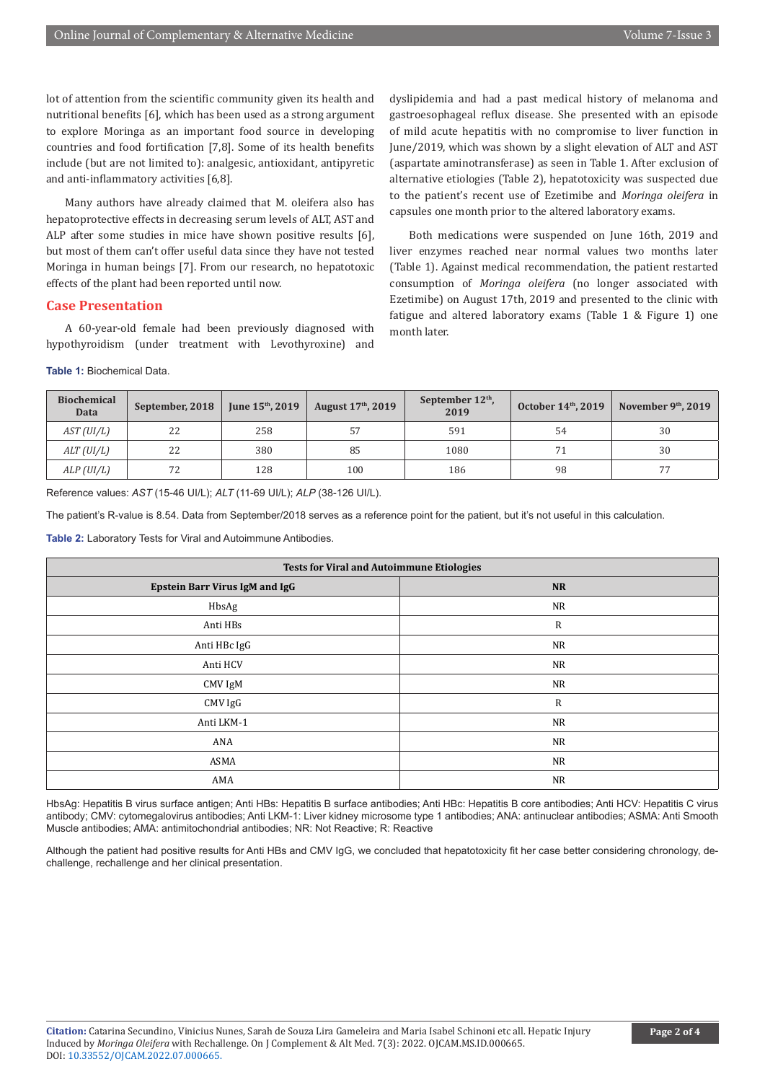lot of attention from the scientific community given its health and nutritional benefits [6], which has been used as a strong argument to explore Moringa as an important food source in developing countries and food fortification [7,8]. Some of its health benefits include (but are not limited to): analgesic, antioxidant, antipyretic and anti-inflammatory activities [6,8].

Many authors have already claimed that M. oleifera also has hepatoprotective effects in decreasing serum levels of ALT, AST and ALP after some studies in mice have shown positive results [6], but most of them can't offer useful data since they have not tested Moringa in human beings [7]. From our research, no hepatotoxic effects of the plant had been reported until now.

## **Case Presentation**

A 60-year-old female had been previously diagnosed with hypothyroidism (under treatment with Levothyroxine) and

**Table 1:** Biochemical Data.

dyslipidemia and had a past medical history of melanoma and gastroesophageal reflux disease. She presented with an episode of mild acute hepatitis with no compromise to liver function in June/2019, which was shown by a slight elevation of ALT and AST (aspartate aminotransferase) as seen in Table 1. After exclusion of alternative etiologies (Table 2), hepatotoxicity was suspected due to the patient's recent use of Ezetimibe and *Moringa oleifera* in capsules one month prior to the altered laboratory exams.

Both medications were suspended on June 16th, 2019 and liver enzymes reached near normal values two months later (Table 1). Against medical recommendation, the patient restarted consumption of *Moringa oleifera* (no longer associated with Ezetimibe) on August 17th, 2019 and presented to the clinic with fatigue and altered laboratory exams (Table 1 & Figure 1) one month later.

| <b>Biochemical</b><br><b>Data</b> | September, 2018 | June $15^{\text{th}}$ , 2019 | August 17th, 2019 | September $12th$ ,<br>2019 | October 14th, 2019 | November $9th$ , 2019 |
|-----------------------------------|-----------------|------------------------------|-------------------|----------------------------|--------------------|-----------------------|
| AST (UI/L)                        | 22              | 258                          | 57                | 591                        | 54                 | 30                    |
| ALT(UI/L)                         | 22              | 380                          | 85                | 1080                       |                    | 30                    |
| ALP (UI/L)                        | 72              | 128                          | 100               | 186                        | 98                 | 77                    |

Reference values: *AST* (15-46 UI/L); *ALT* (11-69 UI/L); *ALP* (38-126 UI/L).

The patient's R-value is 8.54. Data from September/2018 serves as a reference point for the patient, but it's not useful in this calculation.

**Table 2:** Laboratory Tests for Viral and Autoimmune Antibodies.

| <b>Tests for Viral and Autoimmune Etiologies</b> |           |  |  |  |  |
|--------------------------------------------------|-----------|--|--|--|--|
| <b>Epstein Barr Virus IgM and IgG</b>            | <b>NR</b> |  |  |  |  |
| HbsAg                                            | <b>NR</b> |  |  |  |  |
| Anti HBs                                         | R         |  |  |  |  |
| Anti HBc IgG                                     | <b>NR</b> |  |  |  |  |
| Anti HCV                                         | <b>NR</b> |  |  |  |  |
| CMV IgM                                          | <b>NR</b> |  |  |  |  |
| CMV IgG                                          | R         |  |  |  |  |
| Anti LKM-1                                       | <b>NR</b> |  |  |  |  |
| ANA                                              | <b>NR</b> |  |  |  |  |
| ASMA                                             | <b>NR</b> |  |  |  |  |
| AMA                                              | <b>NR</b> |  |  |  |  |

HbsAg: Hepatitis B virus surface antigen; Anti HBs: Hepatitis B surface antibodies; Anti HBc: Hepatitis B core antibodies; Anti HCV: Hepatitis C virus antibody; CMV: cytomegalovirus antibodies; Anti LKM-1: Liver kidney microsome type 1 antibodies; ANA: antinuclear antibodies; ASMA: Anti Smooth Muscle antibodies; AMA: antimitochondrial antibodies; NR: Not Reactive; R: Reactive

Although the patient had positive results for Anti HBs and CMV IgG, we concluded that hepatotoxicity fit her case better considering chronology, dechallenge, rechallenge and her clinical presentation.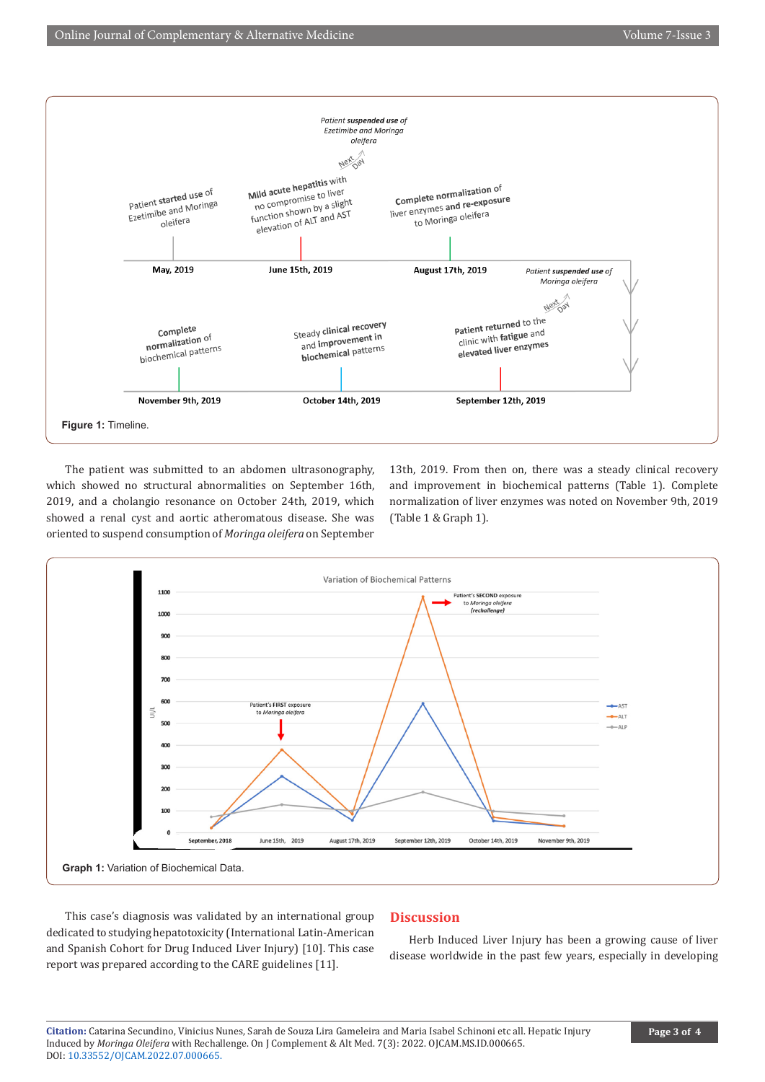

The patient was submitted to an abdomen ultrasonography, which showed no structural abnormalities on September 16th, 2019, and a cholangio resonance on October 24th, 2019, which showed a renal cyst and aortic atheromatous disease. She was oriented to suspend consumption of *Moringa oleifera* on September

13th, 2019. From then on, there was a steady clinical recovery and improvement in biochemical patterns (Table 1). Complete normalization of liver enzymes was noted on November 9th, 2019 (Table 1 & Graph 1).



This case's diagnosis was validated by an international group dedicated to studying hepatotoxicity (International Latin-American and Spanish Cohort for Drug Induced Liver Injury) [10]. This case report was prepared according to the CARE guidelines [11].

# **Discussion**

Herb Induced Liver Injury has been a growing cause of liver disease worldwide in the past few years, especially in developing